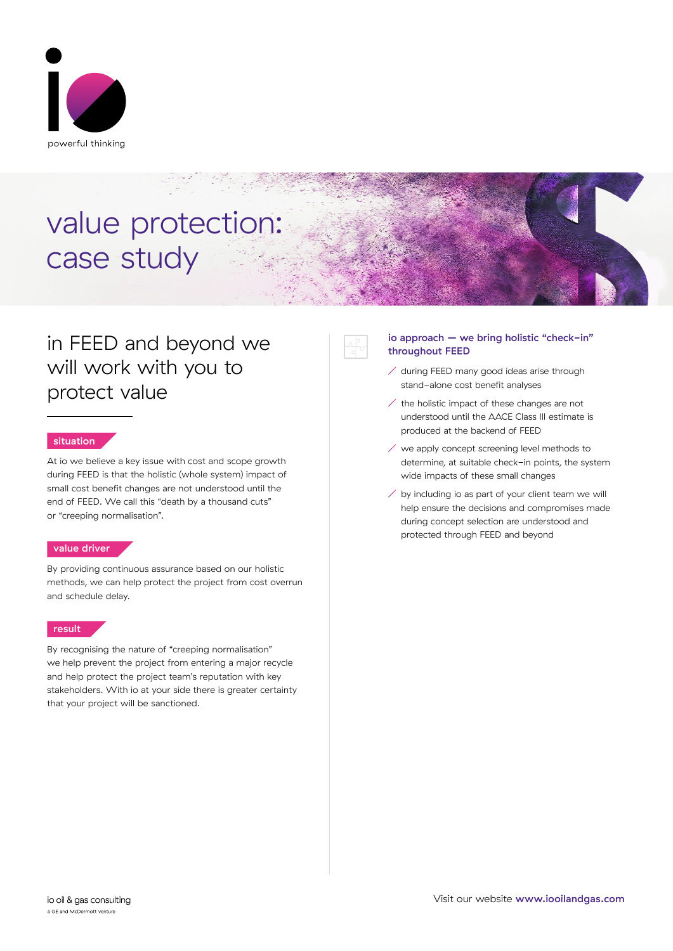

# value protection: case study

### in FEED and beyond we will work with you to protect value

### situation

At io we believe a key issue with cost and scope growth during FEED is that the holistic (whole system) impact of small cost benefit changes are not understood until the end of FEED. We call this "death by a thousand cuts" or "creeping normalisation".

### value driver

By providing continuous assurance based on our holistic methods, we can help protect the project from cost overrun and schedule delay.

### result

By recognising the nature of "creeping normalisation" we help prevent the project from entering a major recycle and help protect the project team's reputation with key stakeholders. With io at your side there is greater certainty that your project will be sanctioned.

### io approach – we bring holistic "check-in" throughout FEED

- $\angle$  during FEED many good ideas arise through stand-alone cost benefit analyses
- the holistic impact of these changes are not understood until the AACE Class III estimate is produced at the backend of FEED
- $\angle$  we apply concept screening level methods to determine, at suitable check-in points, the system wide impacts of these small changes
- $\angle$  by including io as part of your client team we will help ensure the decisions and compromises made during concept selection are understood and protected through FEED and beyond